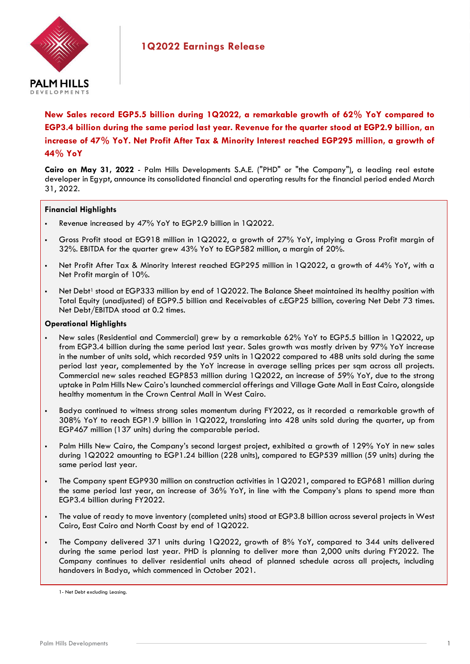

**New Sales record EGP5.5 billion during 1Q2022, a remarkable growth of 62% YoY compared to EGP3.4 billion during the same period last year. Revenue for the quarter stood at EGP2.9 billion, an increase of 47% YoY. Net Profit After Tax & Minority Interest reached EGP295 million, a growth of 44% YoY**

**Cairo on May 31, 2022** - Palm Hills Developments S.A.E. ("PHD" or "the Company"), a leading real estate developer in Egypt, announce its consolidated financial and operating results for the financial period ended March 31, 2022.

## **Financial Highlights**

- Revenue increased by 47% YoY to EGP2.9 billion in 1Q2022.
- Gross Profit stood at EG918 million in 1Q2022, a growth of 27% YoY, implying a Gross Profit margin of 32%. EBITDA for the quarter grew 43% YoY to EGP582 million, a margin of 20%.
- Net Profit After Tax & Minority Interest reached EGP295 million in 1Q2022, a growth of 44% YoY, with a Net Profit margin of 10%.
- Net Debt<sup>1</sup> stood at EGP333 million by end of 1Q2022. The Balance Sheet maintained its healthy position with Total Equity (unadjusted) of EGP9.5 billion and Receivables of c.EGP25 billion, covering Net Debt 73 times. Net Debt/EBITDA stood at 0.2 times.

## **Operational Highlights**

- New sales (Residential and Commercial) grew by a remarkable 62% YoY to EGP5.5 billion in 1Q2022, up from EGP3.4 billion during the same period last year. Sales growth was mostly driven by 97% YoY increase in the number of units sold, which recorded 959 units in 1Q2022 compared to 488 units sold during the same period last year, complemented by the YoY increase in average selling prices per sqm across all projects. Commercial new sales reached EGP853 million during 1Q2022, an increase of 59% YoY, due to the strong uptake in Palm Hills New Cairo's launched commercial offerings and Village Gate Mall in East Cairo, alongside healthy momentum in the Crown Central Mall in West Cairo.
- Badya continued to witness strong sales momentum during FY2022, as it recorded a remarkable growth of 308% YoY to reach EGP1.9 billion in 1Q2022, translating into 428 units sold during the quarter, up from EGP467 million (137 units) during the comparable period.
- Palm Hills New Cairo, the Company's second largest project, exhibited a growth of 129% YoY in new sales during 1Q2022 amounting to EGP1.24 billion (228 units), compared to EGP539 million (59 units) during the same period last year.
- The Company spent EGP930 million on construction activities in 1Q2021, compared to EGP681 million during the same period last year, an increase of 36% YoY, in line with the Company's plans to spend more than EGP3.4 billion during FY2022.
- The value of ready to move inventory (completed units) stood at EGP3.8 billion across several projects in West Cairo, East Cairo and North Coast by end of 1Q2022.
- The Company delivered 371 units during 1Q2022, growth of 8% YoY, compared to 344 units delivered during the same period last year. PHD is planning to deliver more than 2,000 units during FY2022. The Company continues to deliver residential units ahead of planned schedule across all projects, including handovers in Badya, which commenced in October 2021.

<sup>1-</sup> Net Debt excluding Leasing.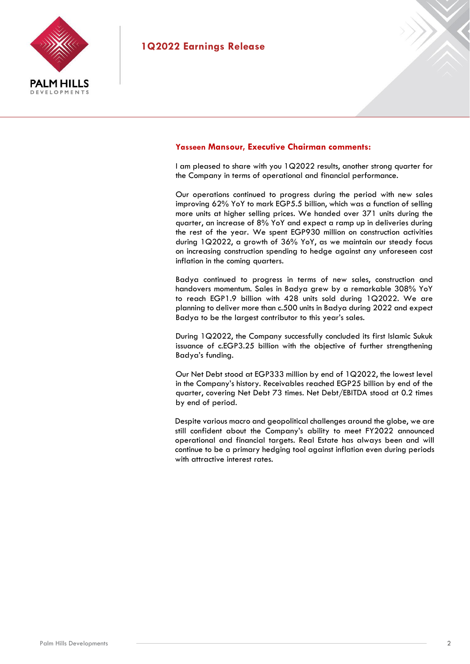

## **Yasseen Mansour, Executive Chairman comments:**

I am pleased to share with you 1Q2022 results, another strong quarter for the Company in terms of operational and financial performance.

Our operations continued to progress during the period with new sales improving 62% YoY to mark EGP5.5 billion, which was a function of selling more units at higher selling prices. We handed over 371 units during the quarter, an increase of 8% YoY and expect a ramp up in deliveries during the rest of the year. We spent EGP930 million on construction activities during 1Q2022, a growth of 36% YoY, as we maintain our steady focus on increasing construction spending to hedge against any unforeseen cost inflation in the coming quarters.

Badya continued to progress in terms of new sales, construction and handovers momentum. Sales in Badya grew by a remarkable 308% YoY to reach EGP1.9 billion with 428 units sold during 1Q2022. We are planning to deliver more than c.500 units in Badya during 2022 and expect Badya to be the largest contributor to this year's sales.

During 1Q2022, the Company successfully concluded its first Islamic Sukuk issuance of c.EGP3.25 billion with the objective of further strengthening Badya's funding.

Our Net Debt stood at EGP333 million by end of 1Q2022, the lowest level in the Company's history. Receivables reached EGP25 billion by end of the quarter, covering Net Debt 73 times. Net Debt/EBITDA stood at 0.2 times by end of period.

Despite various macro and geopolitical challenges around the globe, we are still confident about the Company's ability to meet FY2022 announced operational and financial targets. Real Estate has always been and will continue to be a primary hedging tool against inflation even during periods with attractive interest rates.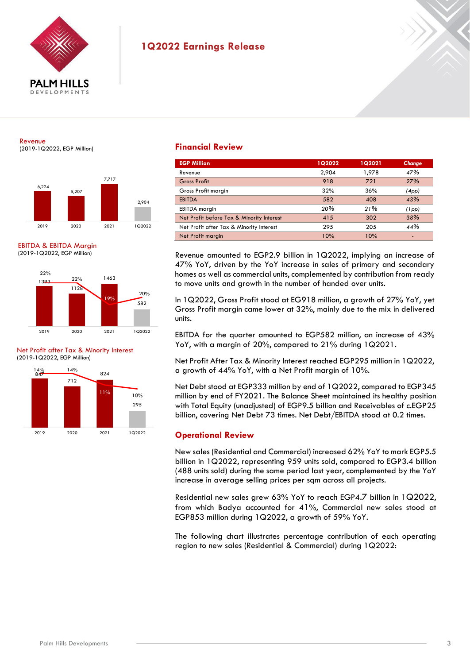

#### Revenue (2019-1Q2022, EGP Million)



EBITDA & EBITDA Margin (2019-1Q2022, EGP Million)



Net Profit after Tax & Minority Interest (2019-1Q2022, EGP Million)



## **Financial Review**

| <b>EGP Million</b>                        | 1Q2022 | 1Q2021 | Change |
|-------------------------------------------|--------|--------|--------|
| Revenue                                   | 2,904  | 1,978  | 47%    |
| <b>Gross Profit</b>                       | 918    | 721    | 27%    |
| Gross Profit margin                       | 32%    | 36%    | (4pp)  |
| <b>EBITDA</b>                             | 582    | 408    | 43%    |
| <b>EBITDA</b> margin                      | 20%    | 21%    | (1pp)  |
| Net Profit before Tax & Minority Interest | 415    | 302    | 38%    |
| Net Profit after Tax & Minority Interest  | 295    | 205    | 44%    |
| Net Profit margin                         | 10%    | 10%    | -      |

Revenue amounted to EGP2.9 billion in 1Q2022, implying an increase of 47% YoY, driven by the YoY increase in sales of primary and secondary homes as well as commercial units, complemented by contribution from ready to move units and growth in the number of handed over units.

In 1Q2022, Gross Profit stood at EG918 million, a growth of 27% YoY, yet Gross Profit margin came lower at 32%, mainly due to the mix in delivered units.

EBITDA for the quarter amounted to EGP582 million, an increase of 43% YoY, with a margin of 20%, compared to 21% during 1Q2021.

Net Profit After Tax & Minority Interest reached EGP295 million in 1Q2022, a growth of 44% YoY, with a Net Profit margin of 10%.

Net Debt stood at EGP333 million by end of 1Q2022, compared to EGP345 million by end of FY2021. The Balance Sheet maintained its healthy position with Total Equity (unadjusted) of EGP9.5 billion and Receivables of c.EGP25 billion, covering Net Debt 73 times. Net Debt/EBITDA stood at 0.2 times.

## **Operational Review**

New sales (Residential and Commercial) increased 62% YoY to mark EGP5.5 billion in 1Q2022, representing 959 units sold, compared to EGP3.4 billion (488 units sold) during the same period last year, complemented by the YoY increase in average selling prices per sqm across all projects.

Residential new sales grew 63% YoY to reach EGP4.7 billion in 1Q2022, from which Badya accounted for 41%, Commercial new sales stood at EGP853 million during 1Q2022, a growth of 59% YoY.

The following chart illustrates percentage contribution of each operating region to new sales (Residential & Commercial) during 1Q2022: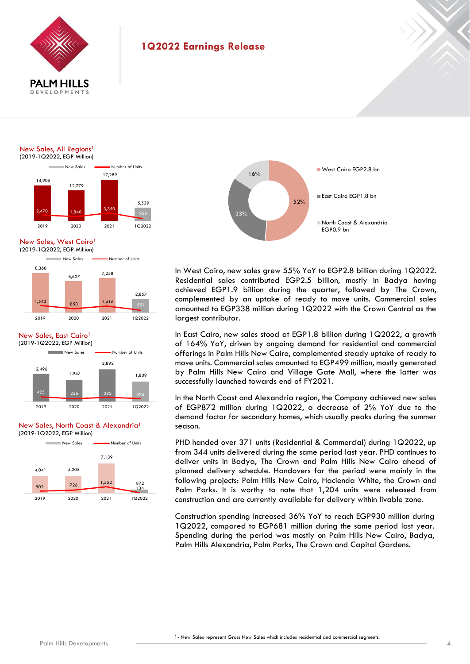

New Sales, All Regions<sup>1</sup>





## New Sales, West Cairo



### New Sales, East Cairo<sup>1</sup>



#### New Sales, North Coast & Alexandria<sup>1</sup> (2019-1Q2022, EGP Million)





In West Cairo, new sales grew 55% YoY to EGP2.8 billion during 1Q2022. Residential sales contributed EGP2.5 billion, mostly in Badya having achieved EGP1.9 billion during the quarter, followed by The Crown, complemented by an uptake of ready to move units. Commercial sales amounted to EGP338 million during 1Q2022 with the Crown Central as the largest contributor.

In East Cairo, new sales stood at EGP1.8 billion during 1Q2022, a growth of 164% YoY, driven by ongoing demand for residential and commercial offerings in Palm Hills New Cairo, complemented steady uptake of ready to move units. Commercial sales amounted to EGP499 million, mostly generated by Palm Hills New Cairo and Village Gate Mall, where the latter was successfully launched towards end of FY2021.

In the North Coast and Alexandria region, the Company achieved new sales of EGP872 million during 1Q2022, a decrease of 2% YoY due to the demand factor for secondary homes, which usually peaks during the summer season.

PHD handed over 371 units (Residential & Commercial) during 1Q2022, up from 344 units delivered during the same period last year. PHD continues to deliver units in Badya, The Crown and Palm Hills New Cairo ahead of planned delivery schedule. Handovers for the period were mainly in the following projects: Palm Hills New Cairo, Hacienda White, the Crown and Palm Parks. It is worthy to note that 1,204 units were released from construction and are currently available for delivery within livable zone.

Construction spending increased 36% YoY to reach EGP930 million during 1Q2022, compared to EGP681 million during the same period last year. Spending during the period was mostly on Palm Hills New Cairo, Badya, Palm Hills Alexandria, Palm Parks, The Crown and Capital Gardens.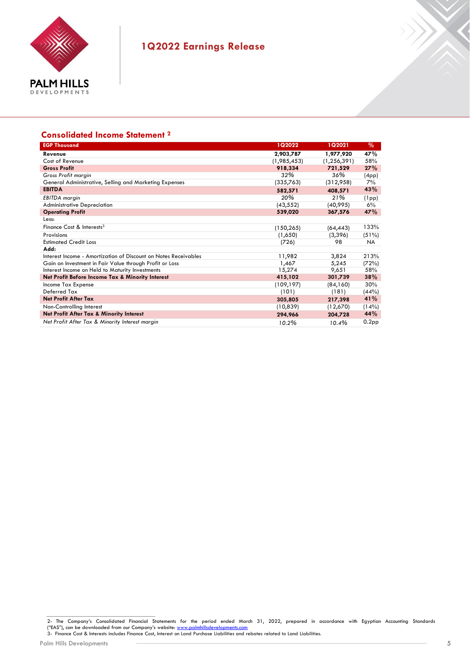

## **Consolidated Income Statement 2**

| <b>EGP Thousand</b>                                             | 1Q2022      | 1Q2021        | $\%$              |
|-----------------------------------------------------------------|-------------|---------------|-------------------|
| Revenue                                                         | 2,903,787   | 1,977,920     | 47%               |
| Cost of Revenue                                                 | (1,985,453) | (1, 256, 391) | 58%               |
| <b>Gross Profit</b>                                             | 918,334     | 721,529       | 27%               |
| Gross Profit margin                                             | 32%         | 36%           | (4pp)             |
| General Administrative, Selling and Marketing Expenses          | (335,763)   | (312,958)     | 7%                |
| <b>EBITDA</b>                                                   | 582,571     | 408,571       | 43%               |
| <b>EBITDA</b> margin                                            | 20%         | 21%           | (1pp)             |
| <b>Administrative Depreciation</b>                              | (43, 552)   | (40,995)      | 6%                |
| <b>Operating Profit</b>                                         | 539,020     | 367,576       | 47%               |
| Less:                                                           |             |               |                   |
| Finance Cost & Interests <sup>3</sup>                           | (150, 265)  | (64,443)      | 133%              |
| Provisions                                                      | (1,650)     | (3,396)       | (51%)             |
| <b>Estimated Credit Loss</b>                                    | (726)       | 98            | <b>NA</b>         |
| Add:                                                            |             |               |                   |
| Interest Income - Amortization of Discount on Notes Receivables | 11,982      | 3,824         | 213%              |
| Gain on Investment in Fair Value through Profit or Loss         | 1,467       | 5,245         | (72%)             |
| Interest Income on Held to Maturity Investments                 | 15,274      | 9,651         | 58%               |
| Net Profit Before Income Tax & Minority Interest                | 415,102     | 301,739       | 38%               |
| Income Tax Expense                                              | (109, 197)  | (84,160)      | 30%               |
| Deferred Tax                                                    | (101)       | (181)         | (44%)             |
| <b>Net Profit After Tax</b>                                     | 305,805     | 217,398       | 41%               |
| Non-Controlling Interest                                        | (10, 839)   | (12,670)      | (14%)             |
| Net Profit After Tax & Minority Interest                        | 294,966     | 204,728       | 44%               |
| Net Profit After Tax & Minority Interest margin                 | 10.2%       | 10.4%         | 0.2 <sub>pp</sub> |

X

<sup>2-</sup> The Company's Consolidated Financial Statements for the period ended March 31, 2022, prepared in accordance with Egyptian Accounting Standards<br>("EAS"),canbedownloadedfromourCompany'swebsite:<u>www.palmhillsdevelopments.co</u>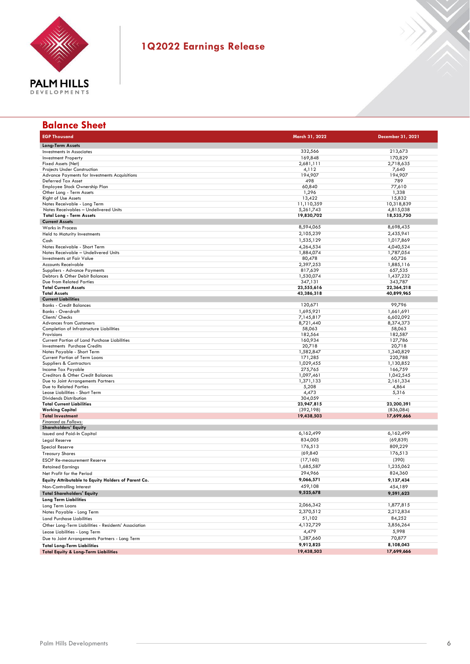

| <b>Balance Sheet</b>                                                  |                        |                        |
|-----------------------------------------------------------------------|------------------------|------------------------|
| <b>EGP Thousand</b>                                                   | March 31, 2022         | December 31, 2021      |
| <b>Long-Term Assets</b>                                               |                        |                        |
| Investments in Associates                                             | 332,566                | 213,673                |
| <b>Investment Property</b>                                            | 169,848                | 170,829                |
| Fixed Assets (Net)                                                    | 2,681,111              | 2,718,635              |
| <b>Projects Under Construction</b>                                    | 4,112                  | 7,640                  |
| Advance Payments for Investments Acquisitions<br>Deferred Tax Asset   | 194,907<br>498         | 194,907<br>789         |
| Employee Stock Ownership Plan                                         | 60,840                 | 77,610                 |
| Other Long - Term Assets                                              | 1,296                  | 1,338                  |
| <b>Right of Use Assets</b>                                            | 13,422                 | 15,832                 |
| Notes Receivable - Long Term                                          | 11,110,359             | 10,318,839             |
| Notes Receivables - Undelivered Units                                 | 5,261,743              | 4,815,038              |
| <b>Total Long - Term Assets</b>                                       | 19,830,702             | 18,535,750             |
| <b>Current Assets</b><br>Works in Process                             | 8,594,065              | 8,698,435              |
|                                                                       |                        |                        |
| Held to Maturity Investments                                          | 2,105,239              | 2,435,941              |
| Cash                                                                  | 1,535,129              | 1,017,869              |
| Notes Receivable - Short Term<br>Notes Receivable - Undelivered Units | 4,264,534<br>1,884,074 | 4,040,524<br>1,787,054 |
| <b>Investments at Fair Value</b>                                      | 80,478                 | 60,726                 |
| <b>Accounts Receivable</b>                                            | 2,397,253              | 1,885,116              |
| Suppliers - Advance Payments                                          | 817,639                | 657,535                |
| Debtors & Other Debit Balances                                        | 1,530,074              | 1,437,232              |
| Due from Related Parties                                              | 347,131                | 343,787                |
| <b>Total Current Assets</b>                                           | 23,555,616             | 22,364,218             |
| <b>Total Assets</b>                                                   | 43,386,318             | 40,899,965             |
| <b>Current Liabilities</b>                                            |                        | 99,796                 |
| <b>Banks - Credit Balances</b><br><b>Banks - Overdraft</b>            | 120,671<br>1.695.921   |                        |
| Clients' Checks                                                       | 7,145,817              | 1,661,691<br>6,602,092 |
| <b>Advances from Customers</b>                                        | 8,721,440              | 8,374,373              |
| Completion of Infrastructure Liabilities                              | 58,063                 | 58,063                 |
| Provisions                                                            | 182,564                | 182,587                |
| Current Portion of Land Purchase Liabilities                          | 160,934                | 127,786                |
| <b>Investments</b> Purchase Credits                                   | 20,718                 | 20,718                 |
| Notes Payable - Short Term                                            | 1,582,847              | 1,340,829              |
| Current Portion of Term Loans                                         | 171,285<br>1,029,455   | 220,788                |
| Suppliers & Contractors<br>Income Tax Payable                         | 275,765                | 1,130,852<br>166,759   |
| <b>Creditors &amp; Other Credit Balances</b>                          | 1,097,461              | 1,042,545              |
| Due to Joint Arrangements Partners                                    | 1,371,133              | 2,161,334              |
| Due to Related Parties                                                | 5,208                  | 4,864                  |
| Lease Liabilities - Short Term                                        | 4,473                  | 5,316                  |
| <b>Dividends Distribution</b>                                         | 304,059                |                        |
| <b>Total Current Liabilities</b>                                      | 23,947,815             | 23,200,391             |
| <b>Working Capital</b><br><b>Total Investment</b>                     | (392, 198)             | (836,084)              |
| <b>Financed as Follows:</b>                                           | 19,438,503             | 17,699,666             |
| <b>Shareholders' Equity</b>                                           |                        |                        |
| <b>Issued and Paid-In Capital</b>                                     | 6,162,499              | 6,162,499              |
| <b>Legal Reserve</b>                                                  | 834,005                | (69, 839)              |
| <b>Special Reserve</b>                                                | 176,513                | 809,229                |
| <b>Treasury Shares</b>                                                | (69, 840)              | 176,513                |
| <b>ESOP Re-measurement Reserve</b>                                    | (17,160)               | (390)                  |
| <b>Retained Earnings</b>                                              | 1,685,587              | 1,235,062              |
| Net Profit for the Period                                             | 294,966                | 824,360                |
| Equity Attributable to Equity Holders of Parent Co.                   | 9,066,571              | 9,137,434              |
| Non-Controlling Interest                                              | 459,108                | 454,189                |
| <b>Total Shareholders' Equity</b>                                     | 9,525,678              | 9,591,623              |
| <b>Long Term Liabilities</b>                                          |                        |                        |
| Long Term Loans                                                       | 2,066,342              | 1,877,815              |
| Notes Payable - Long Term                                             | 2,370,512              | 2,212,834              |
| <b>Land Purchase Liabilities</b>                                      | 51,102                 | 84,252                 |
| Other Long-Term Liabilities - Residents' Association                  | 4,132,729              | 3,856,264              |
| Lease Liabilities - Long Term                                         | 4,479                  | 5,998                  |
| Due to Joint Arrangements Partners - Long Term                        | 1,287,660              | 70,877                 |
| <b>Total Long-Term Liabilities</b>                                    | 9,912,825              | 8,108,043              |
| <b>Total Equity &amp; Long-Term Liabilities</b>                       | 19,438,503             | 17,699,666             |
|                                                                       |                        |                        |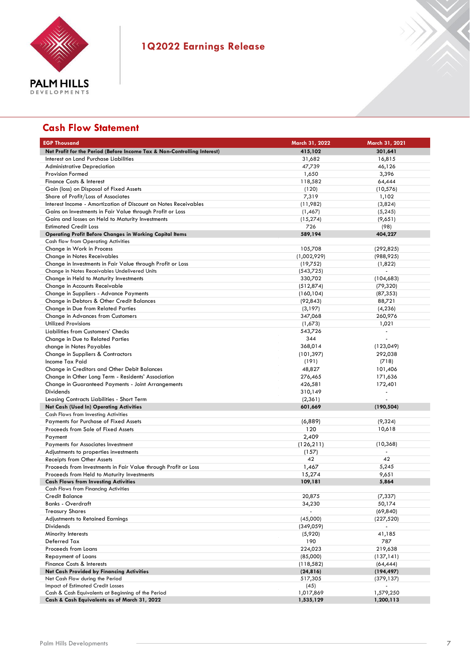

# **Cash Flow Statement**

| <b>EGP Thousand</b>                                                      | March 31, 2022 | March 31, 2021           |
|--------------------------------------------------------------------------|----------------|--------------------------|
| Net Profit for the Period (Before Income Tax & Non-Controlling Interest) | 415,102        | 301.641                  |
| Interest on Land Purchase Liabilities                                    | 31,682         | 16,815                   |
| <b>Administrative Depreciation</b>                                       | 47,739         | 46,126                   |
| <b>Provision Formed</b>                                                  | 1,650          | 3,396                    |
| Finance Costs & Interest                                                 | 118,582        | 64,444                   |
| Gain (loss) on Disposal of Fixed Assets                                  | (120)          | (10, 576)                |
| Share of Profit/Loss of Associates                                       | 7,319          | 1,102                    |
| Interest Income - Amortization of Discount on Notes Receivables          | (11,982)       | (3,824)                  |
| Gains on Investments in Fair Value through Profit or Loss                | (1,467)        | (5, 245)                 |
| Gains and losses on Held to Maturity Investments                         | (15, 274)      | (9,651)                  |
| <b>Estimated Credit Loss</b>                                             | 726            | (98)                     |
| <b>Operating Profit Before Changes in Working Capital Items</b>          | 589,194        | 404,227                  |
| Cash flow from Operating Activities                                      |                |                          |
| Change in Work in Process                                                | 105,708        | (292, 825)               |
| Change in Notes Receivables                                              | (1,002,929)    | (988, 925)               |
| Change in Investments in Fair Value through Profit or Loss               | (19,752)       | (1,822)                  |
| Change in Notes Receivables Undelivered Units                            | (543,725)      | ÷,                       |
| Change in Held to Maturity Investments                                   | 330,702        | (104, 683)               |
| Change in Accounts Receivable                                            | (512, 874)     | (79, 320)                |
| Change in Suppliers - Advance Payments                                   | (160, 104)     | (87, 353)                |
| Change in Debtors & Other Credit Balances                                | (92, 843)      | 88,721                   |
| Change in Due from Related Parties                                       | (3,197)        | (4, 236)                 |
| <b>Change in Advances from Customers</b>                                 | 347,068        | 260,976                  |
| <b>Utilized Provisions</b>                                               | (1,673)        | 1,021                    |
| Liabilities from Customers' Checks                                       | 543,726        | $\blacksquare$           |
| Change in Due to Related Parties                                         | 344            | ÷,                       |
| change in Notes Payables                                                 | 368,014        | (123,049)                |
| Change in Suppliers & Contractors                                        | (101, 397)     | 292,038                  |
| Income Tax Paid                                                          | (191)          | (718)                    |
| Change in Creditors and Other Debit Balances                             | 48,827         | 101,406                  |
| Change in Other Long Term - Residents' Association                       | 276,465        | 171,636                  |
| Change in Guaranteed Payments - Joint Arrangements                       | 426,581        | 172,401                  |
| Dividends                                                                | 310,149        | $\overline{\phantom{a}}$ |
| Leasing Contracts Liabilities - Short Term                               | (2, 361)       | $\blacksquare$           |
| <b>Net Cash (Used In) Operating Activities</b>                           | 601,669        | (190, 504)               |
| Cash Flows from Investing Activities                                     |                |                          |
| Payments for Purchase of Fixed Assets                                    | (6,889)        | (9,324)                  |
| Proceeds from Sale of Fixed Assets                                       | 120            | 10,618                   |
| Payment                                                                  | 2,409          |                          |
| Payments for Associates Investment                                       | (126, 211)     | (10, 368)                |
| Adjustments to properties investments                                    | (157)          |                          |
| Receipts from Other Assets                                               | 42             | 42                       |
| Proceeds from Investments in Fair Value through Profit or Loss           | 1,467          | 5,245                    |
| Proceeds from Held to Maturity Investments                               | 15,274         | 9,651                    |
| <b>Cash Flows from Investing Activities</b>                              | 109,181        | 5,864                    |
| <b>Cash Flows from Financing Activities</b>                              |                |                          |
| <b>Credit Balance</b>                                                    | 20,875         | (7, 337)                 |
| <b>Banks - Overdraft</b>                                                 | 34,230         | 50,174                   |
| <b>Treasury Shares</b>                                                   | $\overline{a}$ | (69, 840)                |
| <b>Adjustments to Retained Earnings</b>                                  | (45,000)       | (227, 520)               |
| Dividends                                                                | (349,059)      |                          |
| Minority Interests                                                       | (5,920)        | 41,185                   |
| Deferred Tax                                                             | 190            | 787                      |
| Proceeds from Loans                                                      | 224,023        | 219,638                  |
| <b>Repayment of Loans</b>                                                | (85,000)       | (137, 141)               |
| <b>Finance Costs &amp; Interests</b>                                     | (118, 582)     | (64, 444)                |
| <b>Net Cash Provided by Financing Activities</b>                         | (24, 816)      | (194, 497)               |
| Net Cash Flow during the Period                                          | 517,305        | (379, 137)               |
| Impact of Estimated Credit Losses                                        | (45)           | $\overline{\phantom{a}}$ |
| Cash & Cash Equivalents at Beginning of the Period                       | 1,017,869      | 1,579,250                |
| Cash & Cash Equivalents as of March 31, 2022                             | 1,535,129      | 1,200,113                |